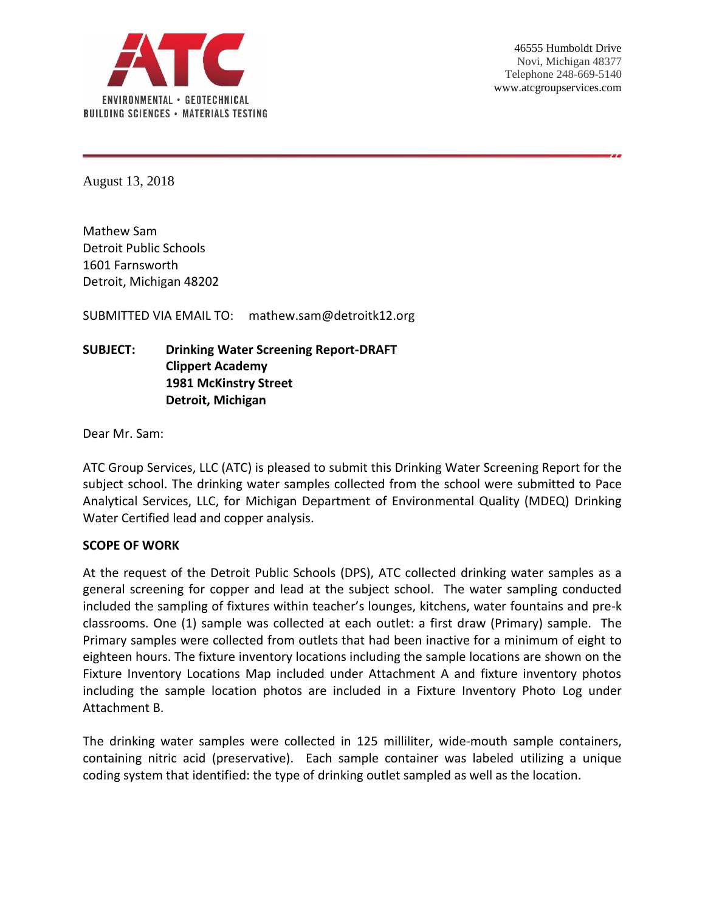

August 13, 2018

Mathew Sam Detroit Public Schools 1601 Farnsworth Detroit, Michigan 48202

SUBMITTED VIA EMAIL TO: mathew.sam@detroitk12.org

# **SUBJECT: Drinking Water Screening Report-DRAFT Clippert Academy 1981 McKinstry Street Detroit, Michigan**

Dear Mr. Sam:

ATC Group Services, LLC (ATC) is pleased to submit this Drinking Water Screening Report for the subject school. The drinking water samples collected from the school were submitted to Pace Analytical Services, LLC, for Michigan Department of Environmental Quality (MDEQ) Drinking Water Certified lead and copper analysis.

#### **SCOPE OF WORK**

At the request of the Detroit Public Schools (DPS), ATC collected drinking water samples as a general screening for copper and lead at the subject school. The water sampling conducted included the sampling of fixtures within teacher's lounges, kitchens, water fountains and pre-k classrooms. One (1) sample was collected at each outlet: a first draw (Primary) sample. The Primary samples were collected from outlets that had been inactive for a minimum of eight to eighteen hours. The fixture inventory locations including the sample locations are shown on the Fixture Inventory Locations Map included under Attachment A and fixture inventory photos including the sample location photos are included in a Fixture Inventory Photo Log under Attachment B.

The drinking water samples were collected in 125 milliliter, wide-mouth sample containers, containing nitric acid (preservative). Each sample container was labeled utilizing a unique coding system that identified: the type of drinking outlet sampled as well as the location.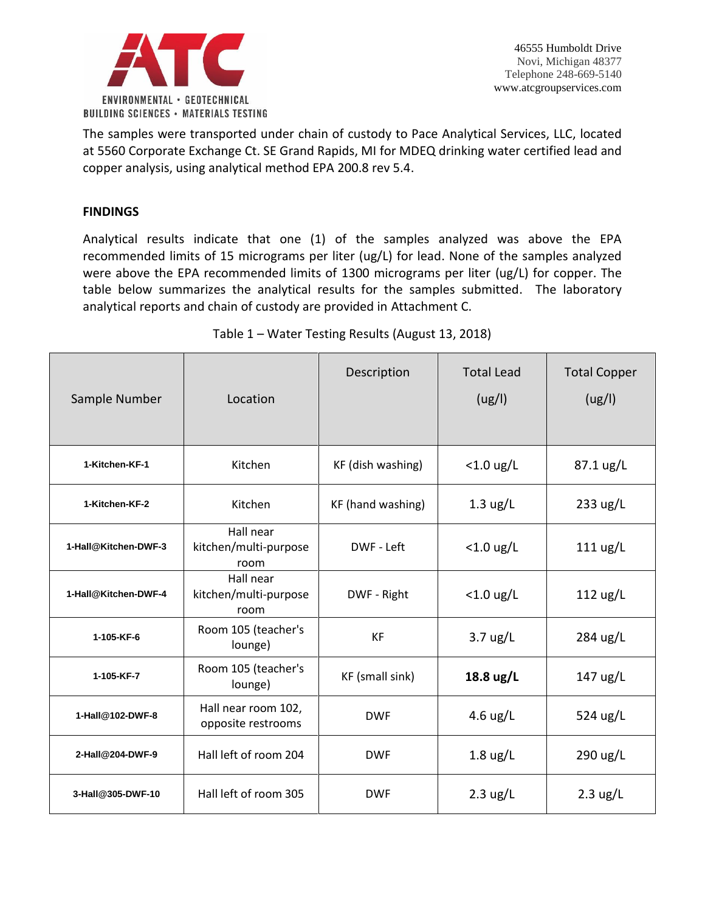

The samples were transported under chain of custody to Pace Analytical Services, LLC, located at 5560 Corporate Exchange Ct. SE Grand Rapids, MI for MDEQ drinking water certified lead and copper analysis, using analytical method EPA 200.8 rev 5.4.

### **FINDINGS**

Analytical results indicate that one (1) of the samples analyzed was above the EPA recommended limits of 15 micrograms per liter (ug/L) for lead. None of the samples analyzed were above the EPA recommended limits of 1300 micrograms per liter (ug/L) for copper. The table below summarizes the analytical results for the samples submitted. The laboratory analytical reports and chain of custody are provided in Attachment C.

| Sample Number        | Location                                   | Description       | <b>Total Lead</b><br>(ug/l)                                     | <b>Total Copper</b><br>(ug/l) |
|----------------------|--------------------------------------------|-------------------|-----------------------------------------------------------------|-------------------------------|
| 1-Kitchen-KF-1       | Kitchen                                    | KF (dish washing) | $<$ 1.0 ug/L                                                    | 87.1 ug/L                     |
| 1-Kitchen-KF-2       | Kitchen                                    | KF (hand washing) | $1.3 \text{ ug/L}$                                              | 233 ug/L                      |
| 1-Hall@Kitchen-DWF-3 | Hall near<br>kitchen/multi-purpose<br>room | DWF - Left        | $<$ 1.0 ug/L                                                    | $111 \text{ ug/L}$            |
| 1-Hall@Kitchen-DWF-4 | Hall near<br>kitchen/multi-purpose<br>room | DWF - Right       | $<$ 1.0 ug/L                                                    | $112 \text{ ug/L}$            |
| 1-105-KF-6           | Room 105 (teacher's<br>lounge)             | <b>KF</b>         | $3.7 \text{ ug/L}$                                              | 284 ug/L                      |
| 1-105-KF-7           | Room 105 (teacher's<br>lounge)             | KF (small sink)   | 18.8 ug/L                                                       | $147 \text{ ug/L}$            |
| 1-Hall@102-DWF-8     | Hall near room 102,<br>opposite restrooms  | <b>DWF</b>        | 4.6 $\frac{\text{u} \times \text{u}}{\text{u} \times \text{u}}$ | 524 ug/L                      |
| 2-Hall@204-DWF-9     | Hall left of room 204                      | <b>DWF</b>        | $1.8 \text{ ug/L}$                                              | 290 ug/L                      |
| 3-Hall@305-DWF-10    | Hall left of room 305                      | <b>DWF</b>        | $2.3 \text{ ug/L}$                                              | $2.3 \text{ ug/L}$            |

## Table 1 – Water Testing Results (August 13, 2018)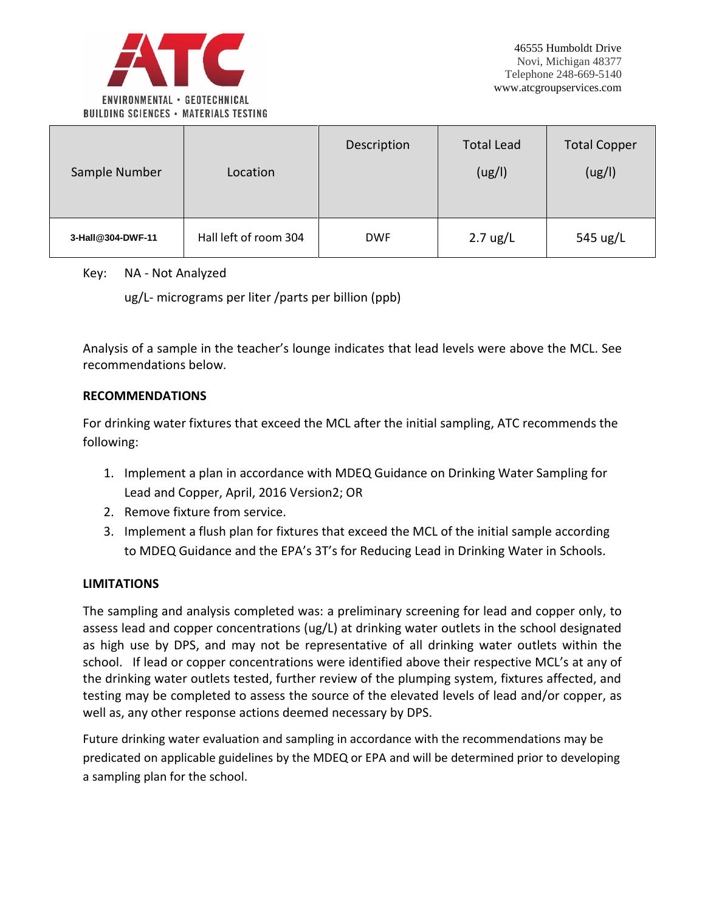

| Sample Number     | Location              | Description | <b>Total Lead</b><br>(ug/l) | <b>Total Copper</b><br>(ug/l) |
|-------------------|-----------------------|-------------|-----------------------------|-------------------------------|
| 3-Hall@304-DWF-11 | Hall left of room 304 | <b>DWF</b>  | $2.7 \text{ ug/L}$          | 545 ug/L                      |

### Key: NA - Not Analyzed

ug/L- micrograms per liter /parts per billion (ppb)

Analysis of a sample in the teacher's lounge indicates that lead levels were above the MCL. See recommendations below.

### **RECOMMENDATIONS**

For drinking water fixtures that exceed the MCL after the initial sampling, ATC recommends the following:

- 1. Implement a plan in accordance with MDEQ Guidance on Drinking Water Sampling for Lead and Copper, April, 2016 Version2; OR
- 2. Remove fixture from service.
- 3. Implement a flush plan for fixtures that exceed the MCL of the initial sample according to MDEQ Guidance and the EPA's 3T's for Reducing Lead in Drinking Water in Schools.

### **LIMITATIONS**

The sampling and analysis completed was: a preliminary screening for lead and copper only, to assess lead and copper concentrations (ug/L) at drinking water outlets in the school designated as high use by DPS, and may not be representative of all drinking water outlets within the school. If lead or copper concentrations were identified above their respective MCL's at any of the drinking water outlets tested, further review of the plumping system, fixtures affected, and testing may be completed to assess the source of the elevated levels of lead and/or copper, as well as, any other response actions deemed necessary by DPS.

Future drinking water evaluation and sampling in accordance with the recommendations may be predicated on applicable guidelines by the MDEQ or EPA and will be determined prior to developing a sampling plan for the school.